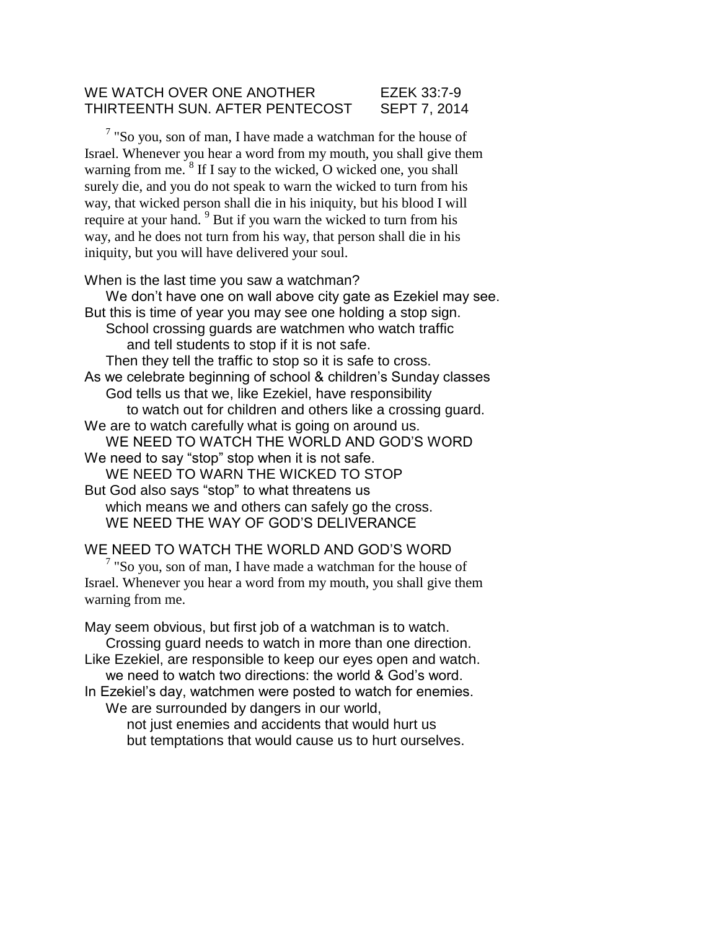## WE WATCH OVER ONE ANOTHER EZEK 33:7-9 THIRTEENTH SUN. AFTER PENTECOST SEPT 7, 2014

 $7$  "So you, son of man, I have made a watchman for the house of Israel. Whenever you hear a word from my mouth, you shall give them warning from me. <sup>8</sup> If I say to the wicked, O wicked one, you shall surely die, and you do not speak to warn the wicked to turn from his way, that wicked person shall die in his iniquity, but his blood I will require at your hand. <sup>9</sup> But if you warn the wicked to turn from his way, and he does not turn from his way, that person shall die in his iniquity, but you will have delivered your soul.

When is the last time you saw a watchman?

We don't have one on wall above city gate as Ezekiel may see. But this is time of year you may see one holding a stop sign. School crossing guards are watchmen who watch traffic and tell students to stop if it is not safe. Then they tell the traffic to stop so it is safe to cross. As we celebrate beginning of school & children's Sunday classes God tells us that we, like Ezekiel, have responsibility to watch out for children and others like a crossing guard. We are to watch carefully what is going on around us. WE NEED TO WATCH THE WORLD AND GOD'S WORD We need to say "stop" stop when it is not safe. WE NEED TO WARN THE WICKED TO STOP But God also says "stop" to what threatens us which means we and others can safely go the cross. WE NEED THE WAY OF GOD'S DELIVERANCE

WE NEED TO WATCH THE WORLD AND GOD'S WORD

 $7$  "So you, son of man, I have made a watchman for the house of Israel. Whenever you hear a word from my mouth, you shall give them warning from me.

May seem obvious, but first job of a watchman is to watch. Crossing guard needs to watch in more than one direction.

Like Ezekiel, are responsible to keep our eyes open and watch. we need to watch two directions: the world & God's word.

In Ezekiel's day, watchmen were posted to watch for enemies. We are surrounded by dangers in our world,

> not just enemies and accidents that would hurt us but temptations that would cause us to hurt ourselves.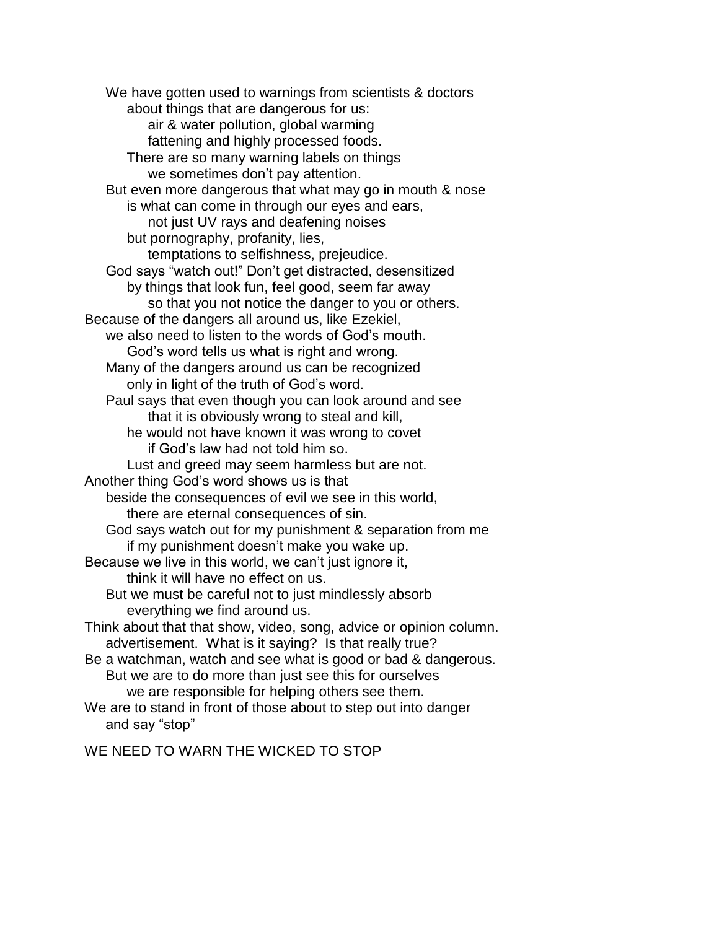We have gotten used to warnings from scientists & doctors about things that are dangerous for us: air & water pollution, global warming fattening and highly processed foods. There are so many warning labels on things we sometimes don't pay attention. But even more dangerous that what may go in mouth & nose is what can come in through our eyes and ears, not just UV rays and deafening noises but pornography, profanity, lies, temptations to selfishness, prejeudice. God says "watch out!" Don't get distracted, desensitized by things that look fun, feel good, seem far away so that you not notice the danger to you or others. Because of the dangers all around us, like Ezekiel, we also need to listen to the words of God's mouth. God's word tells us what is right and wrong. Many of the dangers around us can be recognized only in light of the truth of God's word. Paul says that even though you can look around and see that it is obviously wrong to steal and kill, he would not have known it was wrong to covet if God's law had not told him so. Lust and greed may seem harmless but are not. Another thing God's word shows us is that beside the consequences of evil we see in this world, there are eternal consequences of sin. God says watch out for my punishment & separation from me if my punishment doesn't make you wake up. Because we live in this world, we can't just ignore it, think it will have no effect on us. But we must be careful not to just mindlessly absorb everything we find around us. Think about that that show, video, song, advice or opinion column. advertisement. What is it saying? Is that really true? Be a watchman, watch and see what is good or bad & dangerous. But we are to do more than just see this for ourselves we are responsible for helping others see them. We are to stand in front of those about to step out into danger

and say "stop"

WE NEED TO WARN THE WICKED TO STOP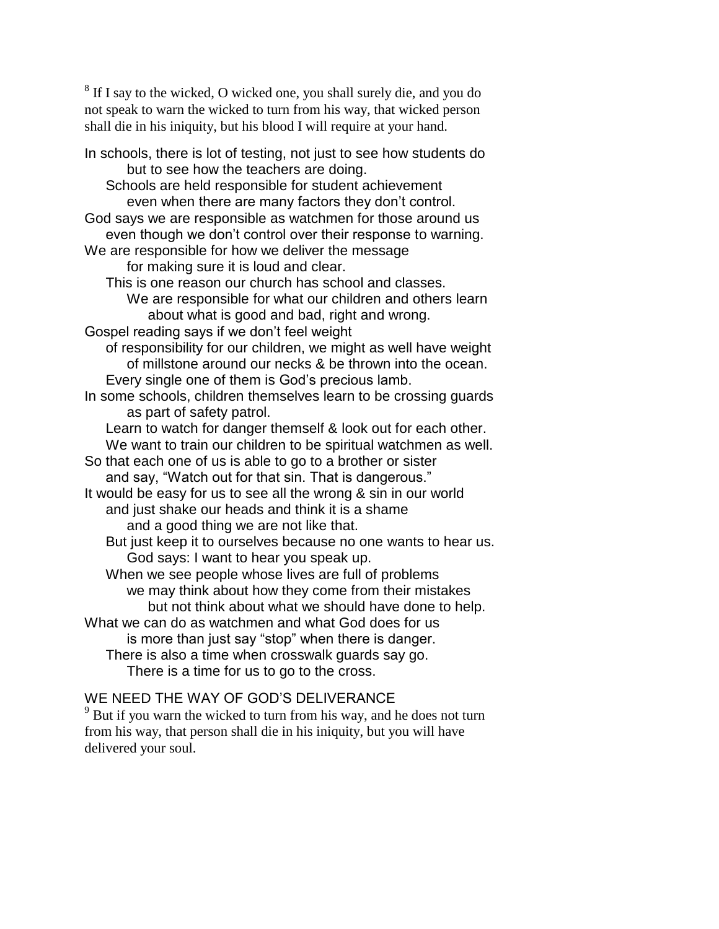<sup>8</sup> If I say to the wicked, O wicked one, you shall surely die, and you do not speak to warn the wicked to turn from his way, that wicked person shall die in his iniquity, but his blood I will require at your hand.

In schools, there is lot of testing, not just to see how students do but to see how the teachers are doing. Schools are held responsible for student achievement even when there are many factors they don't control. God says we are responsible as watchmen for those around us even though we don't control over their response to warning. We are responsible for how we deliver the message for making sure it is loud and clear. This is one reason our church has school and classes. We are responsible for what our children and others learn about what is good and bad, right and wrong. Gospel reading says if we don't feel weight of responsibility for our children, we might as well have weight of millstone around our necks & be thrown into the ocean. Every single one of them is God's precious lamb. In some schools, children themselves learn to be crossing guards as part of safety patrol. Learn to watch for danger themself & look out for each other. We want to train our children to be spiritual watchmen as well. So that each one of us is able to go to a brother or sister and say, "Watch out for that sin. That is dangerous." It would be easy for us to see all the wrong & sin in our world and just shake our heads and think it is a shame and a good thing we are not like that. But just keep it to ourselves because no one wants to hear us. God says: I want to hear you speak up. When we see people whose lives are full of problems we may think about how they come from their mistakes but not think about what we should have done to help. What we can do as watchmen and what God does for us is more than just say "stop" when there is danger. There is also a time when crosswalk guards say go. There is a time for us to go to the cross.

## WE NEED THE WAY OF GOD'S DELIVERANCE

<sup>9</sup> But if you warn the wicked to turn from his way, and he does not turn from his way, that person shall die in his iniquity, but you will have delivered your soul.